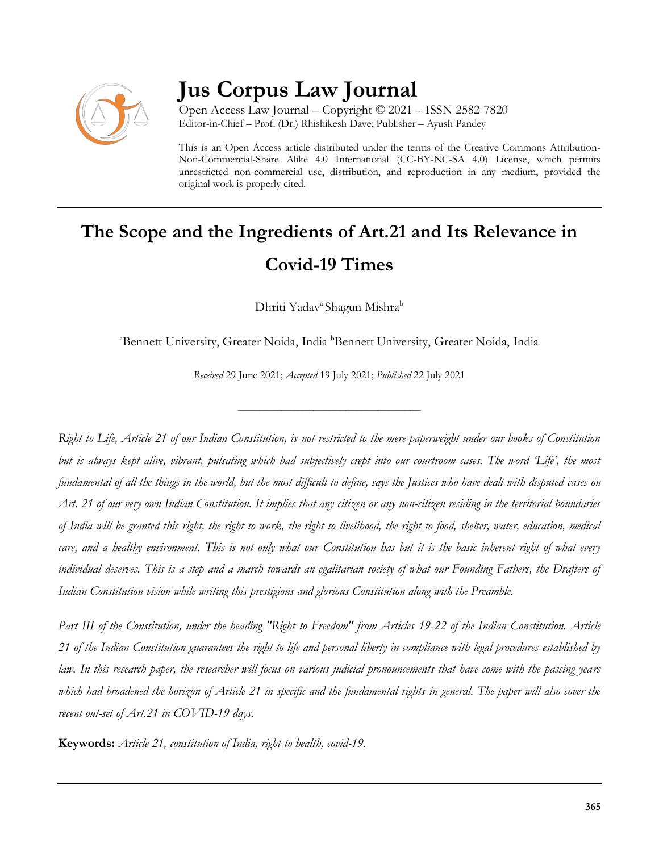

## **Jus Corpus Law Journal**

Open Access Law Journal – Copyright © 2021 – ISSN 2582-7820 Editor-in-Chief – Prof. (Dr.) Rhishikesh Dave; Publisher – Ayush Pandey

This is an Open Access article distributed under the terms of the Creative Commons Attribution-Non-Commercial-Share Alike 4.0 International (CC-BY-NC-SA 4.0) License, which permits unrestricted non-commercial use, distribution, and reproduction in any medium, provided the original work is properly cited.

# **The Scope and the Ingredients of Art.21 and Its Relevance in Covid-19 Times**

Dhriti Yadav<sup>a</sup> Shagun Mishra<sup>b</sup>

<sup>a</sup>Bennett University, Greater Noida, India <sup>b</sup>Bennett University, Greater Noida, India

*Received* 29 June 2021; *Accepted* 19 July 2021; *Published* 22 July 2021

\_\_\_\_\_\_\_\_\_\_\_\_\_\_\_\_\_\_\_\_\_\_\_\_\_\_\_\_\_\_\_\_\_\_

*Right to Life, Article 21 of our Indian Constitution, is not restricted to the mere paperweight under our books of Constitution*  but is always kept alive, vibrant, pulsating which had subjectively crept into our courtroom cases. The word Life', the most *fundamental of all the things in the world, but the most difficult to define, says the Justices who have dealt with disputed cases on Art. 21 of our very own Indian Constitution. It implies that any citizen or any non-citizen residing in the territorial boundaries of India will be granted this right, the right to work, the right to livelihood, the right to food, shelter, water, education, medical care, and a healthy environment. This is not only what our Constitution has but it is the basic inherent right of what every individual deserves. This is a step and a march towards an egalitarian society of what our Founding Fathers, the Drafters of Indian Constitution vision while writing this prestigious and glorious Constitution along with the Preamble.*

*Part III of the Constitution, under the heading "Right to Freedom" from Articles 19-22 of the Indian Constitution. Article 21 of the Indian Constitution guarantees the right to life and personal liberty in compliance with legal procedures established by law. In this research paper, the researcher will focus on various judicial pronouncements that have come with the passing years which had broadened the horizon of Article 21 in specific and the fundamental rights in general. The paper will also cover the recent out-set of Art.21 in COVID-19 days.*

**Keywords:** *Article 21, constitution of India, right to health, covid-19.*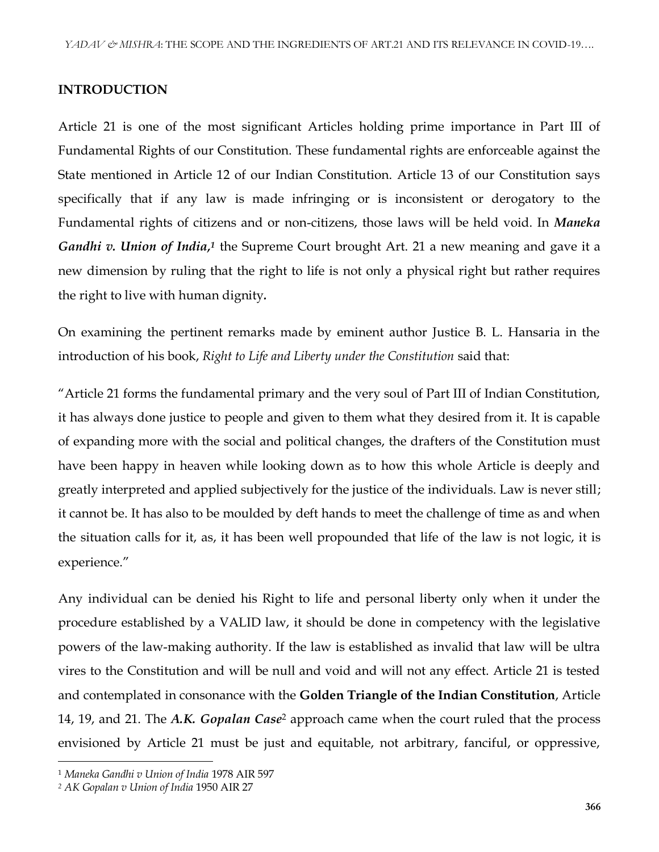### **INTRODUCTION**

Article 21 is one of the most significant Articles holding prime importance in Part III of Fundamental Rights of our Constitution. These fundamental rights are enforceable against the State mentioned in Article 12 of our Indian Constitution. Article 13 of our Constitution says specifically that if any law is made infringing or is inconsistent or derogatory to the Fundamental rights of citizens and or non-citizens, those laws will be held void. In *Maneka*  Gandhi v. Union of India,<sup>1</sup> the Supreme Court brought Art. 21 a new meaning and gave it a new dimension by ruling that the right to life is not only a physical right but rather requires the right to live with human dignity*.*

On examining the pertinent remarks made by eminent author Justice B. L. Hansaria in the introduction of his book, *Right to Life and Liberty under the Constitution* said that:

"Article 21 forms the fundamental primary and the very soul of Part III of Indian Constitution, it has always done justice to people and given to them what they desired from it. It is capable of expanding more with the social and political changes, the drafters of the Constitution must have been happy in heaven while looking down as to how this whole Article is deeply and greatly interpreted and applied subjectively for the justice of the individuals. Law is never still; it cannot be. It has also to be moulded by deft hands to meet the challenge of time as and when the situation calls for it, as, it has been well propounded that life of the law is not logic, it is experience."

Any individual can be denied his Right to life and personal liberty only when it under the procedure established by a VALID law, it should be done in competency with the legislative powers of the law-making authority. If the law is established as invalid that law will be ultra vires to the Constitution and will be null and void and will not any effect. Article 21 is tested and contemplated in consonance with the **Golden Triangle of the Indian Constitution**, Article 14, 19, and 21. The *A.K. Gopalan Case*<sup>2</sup> approach came when the court ruled that the process envisioned by Article 21 must be just and equitable, not arbitrary, fanciful, or oppressive,

<sup>1</sup> *Maneka Gandhi v Union of India* 1978 AIR 597

*<sup>2</sup> AK Gopalan v Union of India* 1950 AIR 27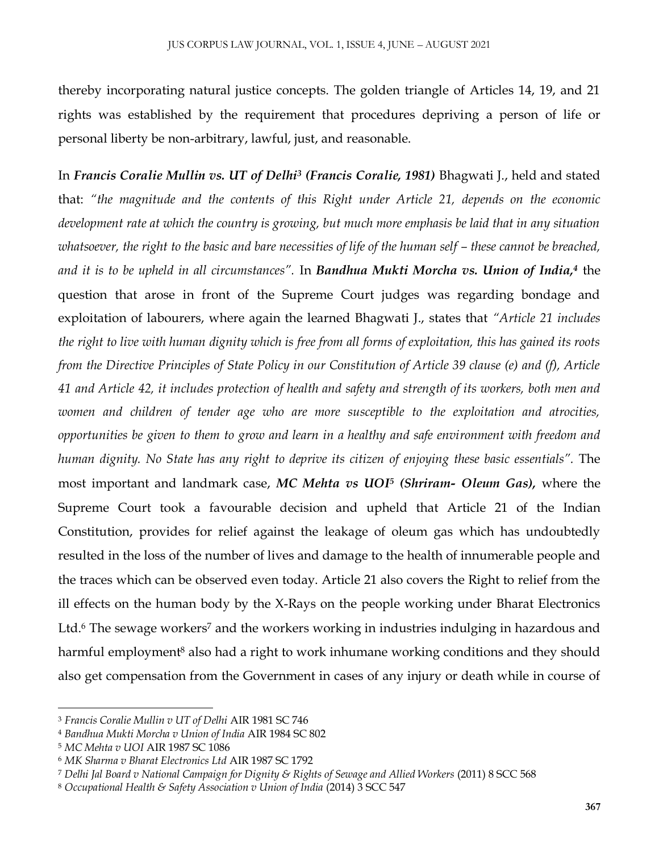thereby incorporating natural justice concepts. The golden triangle of Articles 14, 19, and 21 rights was established by the requirement that procedures depriving a person of life or personal liberty be non-arbitrary, lawful, just, and reasonable.

In *Francis Coralie Mullin vs. UT of Delhi<sup>3</sup> (Francis Coralie, 1981)* Bhagwati J., held and stated that: *"the magnitude and the contents of this Right under Article 21, depends on the economic development rate at which the country is growing, but much more emphasis be laid that in any situation whatsoever, the right to the basic and bare necessities of life of the human self – these cannot be breached, and it is to be upheld in all circumstances".* In *Bandhua Mukti Morcha vs. Union of India, 4* the question that arose in front of the Supreme Court judges was regarding bondage and exploitation of labourers, where again the learned Bhagwati J., states that *"Article 21 includes the right to live with human dignity which is free from all forms of exploitation, this has gained its roots from the Directive Principles of State Policy in our Constitution of Article 39 clause (e) and (f), Article 41 and Article 42, it includes protection of health and safety and strength of its workers, both men and women and children of tender age who are more susceptible to the exploitation and atrocities, opportunities be given to them to grow and learn in a healthy and safe environment with freedom and human dignity. No State has any right to deprive its citizen of enjoying these basic essentials".* The most important and landmark case, *MC Mehta vs UOI<sup>5</sup> (Shriram- Oleum Gas),* where the Supreme Court took a favourable decision and upheld that Article 21 of the Indian Constitution, provides for relief against the leakage of oleum gas which has undoubtedly resulted in the loss of the number of lives and damage to the health of innumerable people and the traces which can be observed even today. Article 21 also covers the Right to relief from the ill effects on the human body by the X-Rays on the people working under Bharat Electronics Ltd.<sup>6</sup> The sewage workers<sup>7</sup> and the workers working in industries indulging in hazardous and harmful employment<sup>8</sup> also had a right to work inhumane working conditions and they should also get compensation from the Government in cases of any injury or death while in course of

 $\overline{a}$ 

<sup>3</sup> *Francis Coralie Mullin v UT of Delhi* AIR 1981 SC 746

<sup>4</sup> *Bandhua Mukti Morcha v Union of India* AIR 1984 SC 802

<sup>5</sup> *MC Mehta v UOI* AIR 1987 SC 1086

<sup>6</sup> *MK Sharma v Bharat Electronics Ltd* AIR 1987 SC 1792

<sup>7</sup> *Delhi Jal Board v National Campaign for Dignity & Rights of Sewage and Allied Workers* (2011) 8 SCC 568

<sup>8</sup> *Occupational Health & Safety Association v Union of India* (2014) 3 SCC 547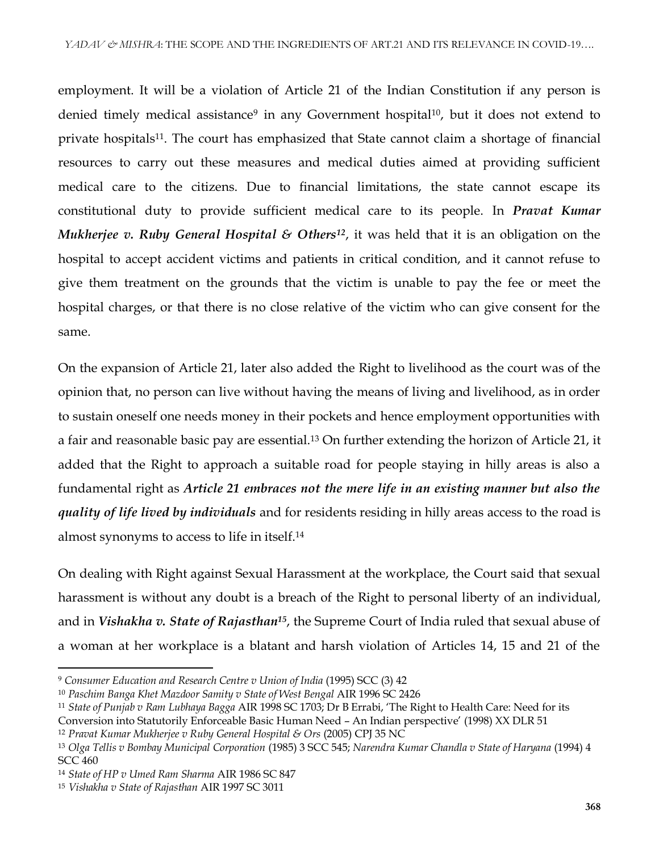employment. It will be a violation of Article 21 of the Indian Constitution if any person is denied timely medical assistance<sup>9</sup> in any Government hospital<sup>10</sup>, but it does not extend to private hospitals<sup>11</sup>. The court has emphasized that State cannot claim a shortage of financial resources to carry out these measures and medical duties aimed at providing sufficient medical care to the citizens. Due to financial limitations, the state cannot escape its constitutional duty to provide sufficient medical care to its people. In *Pravat Kumar Mukherjee v. Ruby General Hospital & Others<sup>12</sup>, it was held that it is an obligation on the* hospital to accept accident victims and patients in critical condition, and it cannot refuse to give them treatment on the grounds that the victim is unable to pay the fee or meet the hospital charges, or that there is no close relative of the victim who can give consent for the same.

On the expansion of Article 21, later also added the Right to livelihood as the court was of the opinion that, no person can live without having the means of living and livelihood, as in order to sustain oneself one needs money in their pockets and hence employment opportunities with a fair and reasonable basic pay are essential.<sup>13</sup> On further extending the horizon of Article 21, it added that the Right to approach a suitable road for people staying in hilly areas is also a fundamental right as *Article 21 embraces not the mere life in an existing manner but also the quality of life lived by individuals* and for residents residing in hilly areas access to the road is almost synonyms to access to life in itself.<sup>14</sup>

On dealing with Right against Sexual Harassment at the workplace, the Court said that sexual harassment is without any doubt is a breach of the Right to personal liberty of an individual, and in *Vishakha v. State of Rajasthan<sup>15</sup>*, the Supreme Court of India ruled that sexual abuse of a woman at her workplace is a blatant and harsh violation of Articles 14, 15 and 21 of the

<sup>9</sup> *Consumer Education and Research Centre v Union of India* (1995) SCC (3) 42

<sup>10</sup> *Paschim Banga Khet Mazdoor Samity v State of West Bengal* AIR 1996 SC 2426

<sup>11</sup> *State of Punjab v Ram Lubhaya Bagga* AIR 1998 SC 1703; Dr B Errabi, 'The Right to Health Care: Need for its

Conversion into Statutorily Enforceable Basic Human Need – An Indian perspective' (1998) XX DLR 51 <sup>12</sup> *Pravat Kumar Mukherjee v Ruby General Hospital & Ors* (2005) CPJ 35 NC

<sup>13</sup> *Olga Tellis v Bombay Municipal Corporation* (1985) 3 SCC 545; *Narendra Kumar Chandla v State of Haryana* (1994) 4 SCC 460

<sup>14</sup> *State of HP v Umed Ram Sharma* AIR 1986 SC 847

<sup>15</sup> *Vishakha v State of Rajasthan* AIR 1997 SC 3011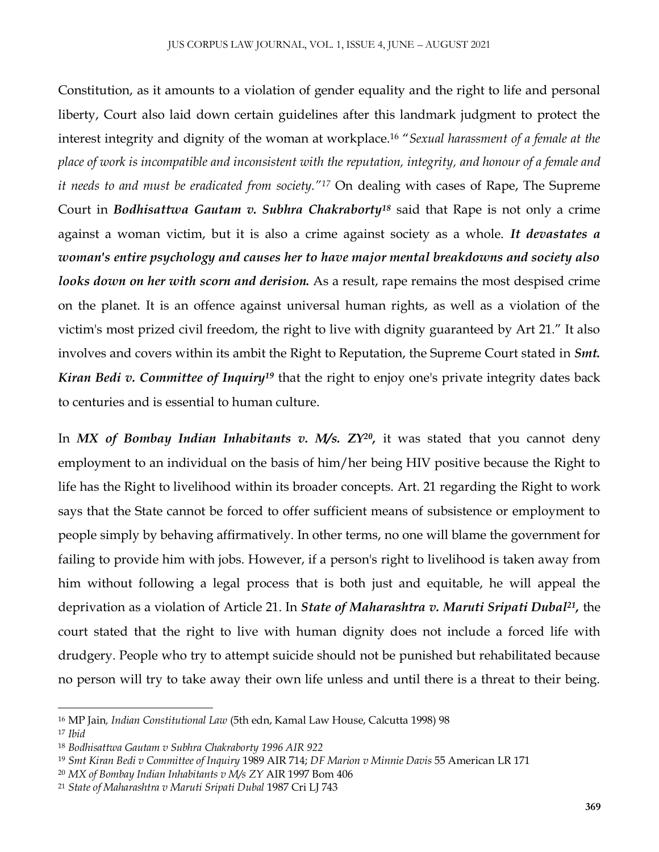Constitution, as it amounts to a violation of gender equality and the right to life and personal liberty, Court also laid down certain guidelines after this landmark judgment to protect the interest integrity and dignity of the woman at workplace.<sup>16</sup> "*Sexual harassment of a female at the place of work is incompatible and inconsistent with the reputation, integrity, and honour of a female and it needs to and must be eradicated from society."<sup>17</sup>* On dealing with cases of Rape, The Supreme Court in *Bodhisattwa Gautam v. Subhra Chakraborty<sup>18</sup>* said that Rape is not only a crime against a woman victim, but it is also a crime against society as a whole. *It devastates a woman's entire psychology and causes her to have major mental breakdowns and society also looks down on her with scorn and derision.* As a result, rape remains the most despised crime on the planet. It is an offence against universal human rights, as well as a violation of the victim's most prized civil freedom, the right to live with dignity guaranteed by Art 21." It also involves and covers within its ambit the Right to Reputation, the Supreme Court stated in *Smt. Kiran Bedi v. Committee of Inquiry<sup>19</sup>* that the right to enjoy one's private integrity dates back to centuries and is essential to human culture.

In *MX of Bombay Indian Inhabitants v. M/s. ZY<sup>20</sup>,* it was stated that you cannot deny employment to an individual on the basis of him/her being HIV positive because the Right to life has the Right to livelihood within its broader concepts. Art. 21 regarding the Right to work says that the State cannot be forced to offer sufficient means of subsistence or employment to people simply by behaving affirmatively. In other terms, no one will blame the government for failing to provide him with jobs. However, if a person's right to livelihood is taken away from him without following a legal process that is both just and equitable, he will appeal the deprivation as a violation of Article 21. In *State of Maharashtra v. Maruti Sripati Dubal<sup>21</sup> ,* the court stated that the right to live with human dignity does not include a forced life with drudgery. People who try to attempt suicide should not be punished but rehabilitated because no person will try to take away their own life unless and until there is a threat to their being.

 $\overline{a}$ 

<sup>16</sup> MP Jain*, Indian Constitutional Law* (5th edn, Kamal Law House, Calcutta 1998) 98

<sup>17</sup> *Ibid*

<sup>18</sup> *Bodhisattwa Gautam v Subhra Chakraborty 1996 AIR 922*

<sup>19</sup> *Smt Kiran Bedi v Committee of Inquiry* 1989 AIR 714; *DF Marion v Minnie Davis* 55 American LR 171

<sup>20</sup> *MX of Bombay Indian Inhabitants v M/s ZY* AIR 1997 Bom 406

<sup>21</sup> *State of Maharashtra v Maruti Sripati Dubal* 1987 Cri LJ 743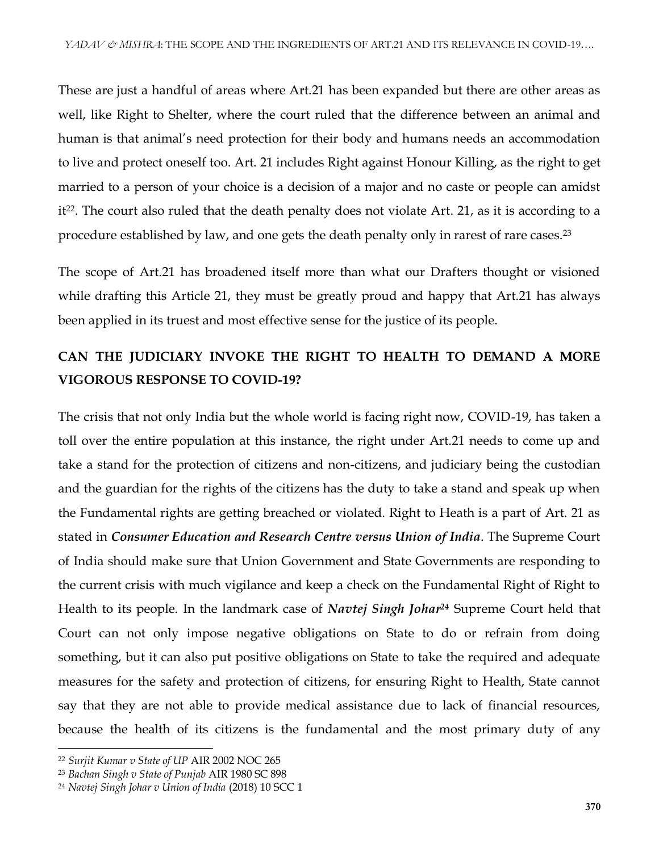These are just a handful of areas where Art.21 has been expanded but there are other areas as well, like Right to Shelter, where the court ruled that the difference between an animal and human is that animal's need protection for their body and humans needs an accommodation to live and protect oneself too. Art. 21 includes Right against Honour Killing, as the right to get married to a person of your choice is a decision of a major and no caste or people can amidst it<sup>22</sup>. The court also ruled that the death penalty does not violate Art. 21, as it is according to a procedure established by law, and one gets the death penalty only in rarest of rare cases.<sup>23</sup>

The scope of Art.21 has broadened itself more than what our Drafters thought or visioned while drafting this Article 21, they must be greatly proud and happy that Art.21 has always been applied in its truest and most effective sense for the justice of its people.

### **CAN THE JUDICIARY INVOKE THE RIGHT TO HEALTH TO DEMAND A MORE VIGOROUS RESPONSE TO COVID-19?**

The crisis that not only India but the whole world is facing right now, COVID-19, has taken a toll over the entire population at this instance, the right under Art.21 needs to come up and take a stand for the protection of citizens and non-citizens, and judiciary being the custodian and the guardian for the rights of the citizens has the duty to take a stand and speak up when the Fundamental rights are getting breached or violated. Right to Heath is a part of Art. 21 as stated in *Consumer Education and Research Centre versus Union of India*. The Supreme Court of India should make sure that Union Government and State Governments are responding to the current crisis with much vigilance and keep a check on the Fundamental Right of Right to Health to its people. In the landmark case of *Navtej Singh Johar<sup>24</sup>* Supreme Court held that Court can not only impose negative obligations on State to do or refrain from doing something, but it can also put positive obligations on State to take the required and adequate measures for the safety and protection of citizens, for ensuring Right to Health, State cannot say that they are not able to provide medical assistance due to lack of financial resources, because the health of its citizens is the fundamental and the most primary duty of any

<sup>22</sup> *Surjit Kumar v State of UP* AIR 2002 NOC 265

<sup>23</sup> *Bachan Singh v State of Punjab* AIR 1980 SC 898

<sup>24</sup> *Navtej Singh Johar v Union of India* (2018) 10 SCC 1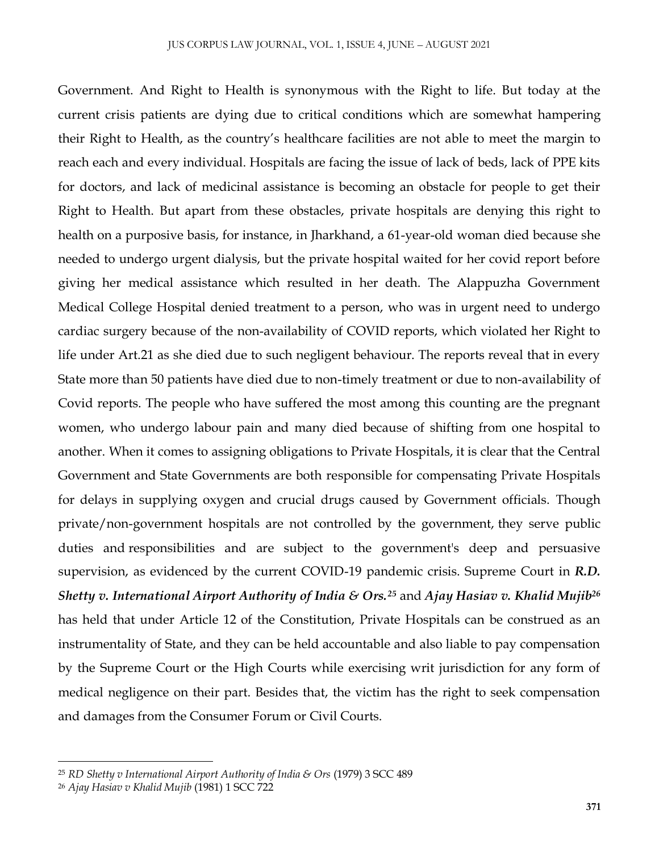Government. And Right to Health is synonymous with the Right to life. But today at the current crisis patients are dying due to critical conditions which are somewhat hampering their Right to Health, as the country's healthcare facilities are not able to meet the margin to reach each and every individual. Hospitals are facing the issue of lack of beds, lack of PPE kits for doctors, and lack of medicinal assistance is becoming an obstacle for people to get their Right to Health. But apart from these obstacles, private hospitals are denying this right to health on a purposive basis, for instance, in Jharkhand, a 61-year-old woman died because she needed to undergo urgent dialysis, but the private hospital waited for her covid report before giving her medical assistance which resulted in her death. The Alappuzha Government Medical College Hospital denied treatment to a person, who was in urgent need to undergo cardiac surgery because of the non-availability of COVID reports, which violated her Right to life under Art.21 as she died due to such negligent behaviour. The reports reveal that in every State more than 50 patients have died due to non-timely treatment or due to non-availability of Covid reports. The people who have suffered the most among this counting are the pregnant women, who undergo labour pain and many died because of shifting from one hospital to another. When it comes to assigning obligations to Private Hospitals, it is clear that the Central Government and State Governments are both responsible for compensating Private Hospitals for delays in supplying oxygen and crucial drugs caused by Government officials. Though private/non-government hospitals are not controlled by the government, they serve public duties and responsibilities and are subject to the government's deep and persuasive supervision, as evidenced by the current COVID-19 pandemic crisis. Supreme Court in *R.D. Shetty v. International Airport Authority of India & Ors.<sup>25</sup>* and *Ajay Hasiav v. Khalid Mujib<sup>26</sup>* has held that under Article 12 of the Constitution, Private Hospitals can be construed as an instrumentality of State, and they can be held accountable and also liable to pay compensation by the Supreme Court or the High Courts while exercising writ jurisdiction for any form of medical negligence on their part. Besides that, the victim has the right to seek compensation and damages from the Consumer Forum or Civil Courts.

<sup>25</sup> *RD Shetty v International Airport Authority of India & Ors* (1979) 3 SCC 489

<sup>26</sup> *Ajay Hasiav v Khalid Mujib* (1981) 1 SCC 722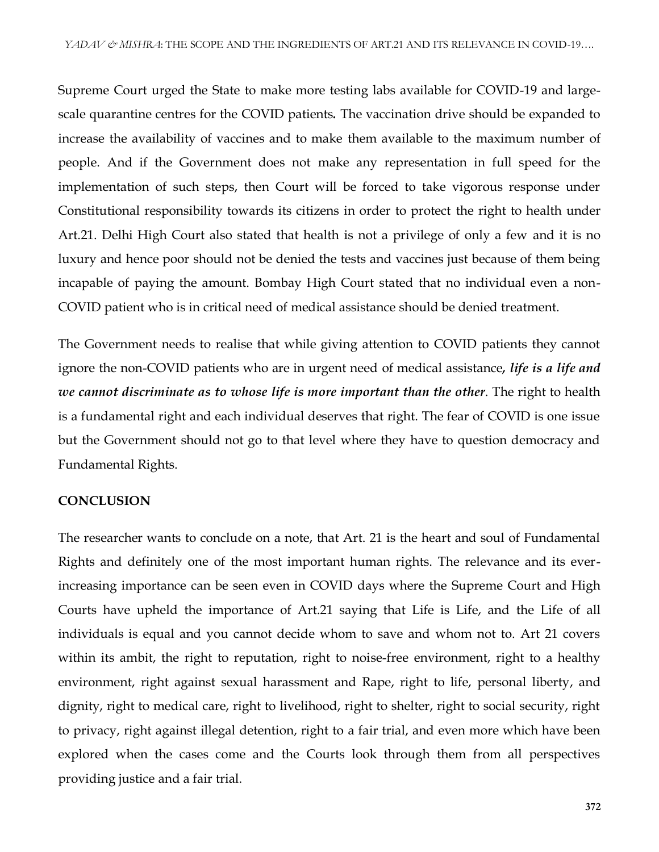Supreme Court urged the State to make more testing labs available for COVID-19 and largescale quarantine centres for the COVID patients*.* The vaccination drive should be expanded to increase the availability of vaccines and to make them available to the maximum number of people. And if the Government does not make any representation in full speed for the implementation of such steps, then Court will be forced to take vigorous response under Constitutional responsibility towards its citizens in order to protect the right to health under Art.21. Delhi High Court also stated that health is not a privilege of only a few and it is no luxury and hence poor should not be denied the tests and vaccines just because of them being incapable of paying the amount. Bombay High Court stated that no individual even a non-COVID patient who is in critical need of medical assistance should be denied treatment.

The Government needs to realise that while giving attention to COVID patients they cannot ignore the non-COVID patients who are in urgent need of medical assistance*, life is a life and we cannot discriminate as to whose life is more important than the other*. The right to health is a fundamental right and each individual deserves that right. The fear of COVID is one issue but the Government should not go to that level where they have to question democracy and Fundamental Rights.

#### **CONCLUSION**

The researcher wants to conclude on a note, that Art. 21 is the heart and soul of Fundamental Rights and definitely one of the most important human rights. The relevance and its everincreasing importance can be seen even in COVID days where the Supreme Court and High Courts have upheld the importance of Art.21 saying that Life is Life, and the Life of all individuals is equal and you cannot decide whom to save and whom not to. Art 21 covers within its ambit, the right to reputation, right to noise-free environment, right to a healthy environment, right against sexual harassment and Rape, right to life, personal liberty, and dignity, right to medical care, right to livelihood, right to shelter, right to social security, right to privacy, right against illegal detention, right to a fair trial, and even more which have been explored when the cases come and the Courts look through them from all perspectives providing justice and a fair trial.